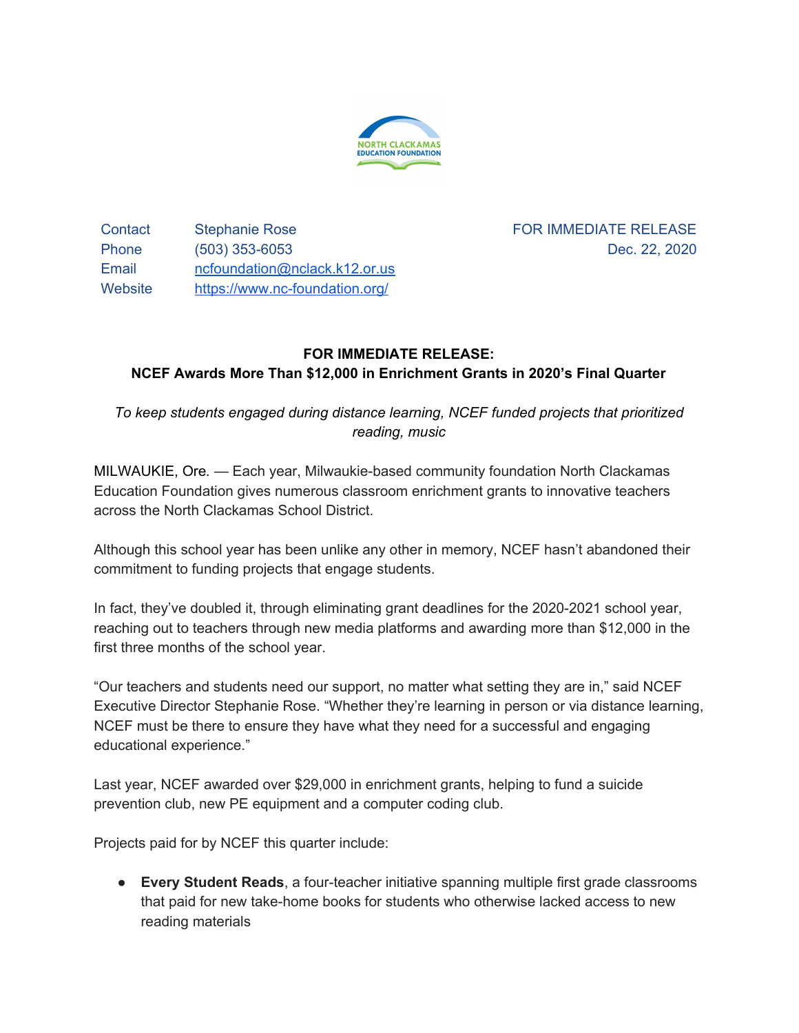

Contact Stephanie Rose Phone (503) 353-6053 Email [ncfoundation@nclack.k12.or.us](mailto:ncfoundation@nclack.k12.or.us) Website <https://www.nc-foundation.org/>

FOR IMMEDIATE RELEASE Dec. 22, 2020

## **FOR IMMEDIATE RELEASE:**

## **NCEF Awards More Than \$12,000 in Enrichment Grants in 2020's Final Quarter**

*To keep students engaged during distance learning, NCEF funded projects that prioritized reading, music*

MILWAUKIE, Ore*.* — Each year, Milwaukie-based community foundation North Clackamas Education Foundation gives numerous classroom enrichment grants to innovative teachers across the North Clackamas School District.

Although this school year has been unlike any other in memory, NCEF hasn't abandoned their commitment to funding projects that engage students.

In fact, they've doubled it, through eliminating grant deadlines for the 2020-2021 school year, reaching out to teachers through new media platforms and awarding more than \$12,000 in the first three months of the school year.

"Our teachers and students need our support, no matter what setting they are in," said NCEF Executive Director Stephanie Rose. "Whether they're learning in person or via distance learning, NCEF must be there to ensure they have what they need for a successful and engaging educational experience."

Last year, NCEF awarded over \$29,000 in enrichment grants, helping to fund a suicide prevention club, new PE equipment and a computer coding club.

Projects paid for by NCEF this quarter include:

● **Every Student Reads**, a four-teacher initiative spanning multiple first grade classrooms that paid for new take-home books for students who otherwise lacked access to new reading materials